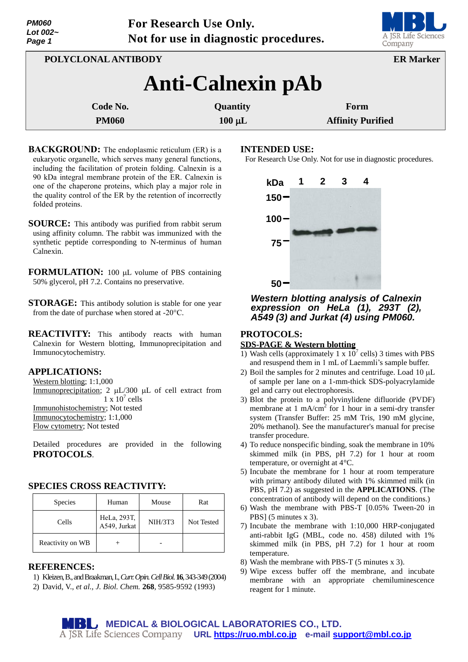| <i><b>PM060</b></i> |
|---------------------|
| Lot 002 $\sim$      |
| Page 1              |

**For Research Use Only. Not for use in diagnostic procedures.**



| POLYCLONAL ANTIBODY      |             | <b>ER Marker</b>         |  |  |  |
|--------------------------|-------------|--------------------------|--|--|--|
| <b>Anti-Calnexin pAb</b> |             |                          |  |  |  |
| Code No.                 | Quantity    | Form                     |  |  |  |
| <b>PM060</b>             | $100 \mu L$ | <b>Affinity Purified</b> |  |  |  |

- **BACKGROUND:** The endoplasmic reticulum (ER) is a eukaryotic organelle, which serves many general functions, including the facilitation of protein folding. Calnexin is a 90 kDa integral membrane protein of the ER. Calnexin is one of the chaperone proteins, which play a major role in the quality control of the ER by the retention of incorrectly folded proteins.
- **SOURCE:** This antibody was purified from rabbit serum using affinity column. The rabbit was immunized with the synthetic peptide corresponding to N-terminus of human Calnexin.
- **FORMULATION:** 100 µL volume of PBS containing 50% glycerol, pH 7.2. Contains no preservative.
- **STORAGE:** This antibody solution is stable for one year from the date of purchase when stored at -20°C.
- **REACTIVITY:** This antibody reacts with human Calnexin for Western blotting, Immunoprecipitation and Immunocytochemistry.

### **APPLICATIONS:**

Western blotting; 1:1,000 Immunoprecipitation; 2  $\mu$ L/300  $\mu$ L of cell extract from  $1 \times 10^7$  cells Immunohistochemistry; Not tested Immunocytochemistry; 1:1,000 Flow cytometry; Not tested

Detailed procedures are provided in the following **PROTOCOLS**.

## **SPECIES CROSS REACTIVITY:**

| <b>Species</b>   | Human                       | Mouse          | Rat        |
|------------------|-----------------------------|----------------|------------|
| Cells            | HeLa, 293T,<br>A549, Jurkat | <b>NIH/3T3</b> | Not Tested |
| Reactivity on WB |                             |                |            |

#### **REFERENCES:**

- 1) Kleizen,B.,and Braakman,I.,*Curr.Opin.Cell Biol.***16**, 343-349 (2004)
- 2) David, V., *et al., J. Biol. Chem.* **268**, 9585-9592 (1993)

#### **INTENDED USE:**

For Research Use Only. Not for use in diagnostic procedures.



## *Western blotting analysis of Calnexin expression on HeLa (1), 293T (2), A549 (3) and Jurkat (4) using PM060.*

## **PROTOCOLS:**

#### **SDS-PAGE & Western blotting**

- 1) Wash cells (approximately 1 x  $10^7$  cells) 3 times with PBS and resuspend them in 1 mL of Laemmli's sample buffer.
- 2) Boil the samples for 2 minutes and centrifuge. Load  $10 \mu L$ of sample per lane on a 1-mm-thick SDS-polyacrylamide gel and carry out electrophoresis.
- 3) Blot the protein to a polyvinylidene difluoride (PVDF) membrane at 1 mA/cm<sup>2</sup> for 1 hour in a semi-dry transfer system (Transfer Buffer: 25 mM Tris, 190 mM glycine, 20% methanol). See the manufacturer's manual for precise transfer procedure.
- 4) To reduce nonspecific binding, soak the membrane in 10% skimmed milk (in PBS, pH 7.2) for 1 hour at room temperature, or overnight at 4°C.
- 5) Incubate the membrane for 1 hour at room temperature with primary antibody diluted with 1% skimmed milk (in PBS, pH 7.2) as suggested in the **APPLICATIONS**. (The concentration of antibody will depend on the conditions.)
- 6) Wash the membrane with PBS-T [0.05% Tween-20 in PBS] (5 minutes x 3).
- 7) Incubate the membrane with 1:10,000 HRP-conjugated anti-rabbit IgG (MBL, code no. 458) diluted with 1% skimmed milk (in PBS, pH 7.2) for 1 hour at room temperature.
- 8) Wash the membrane with PBS-T (5 minutes x 3).
- 9) Wipe excess buffer off the membrane, and incubate membrane with an appropriate chemiluminescence reagent for 1 minute.